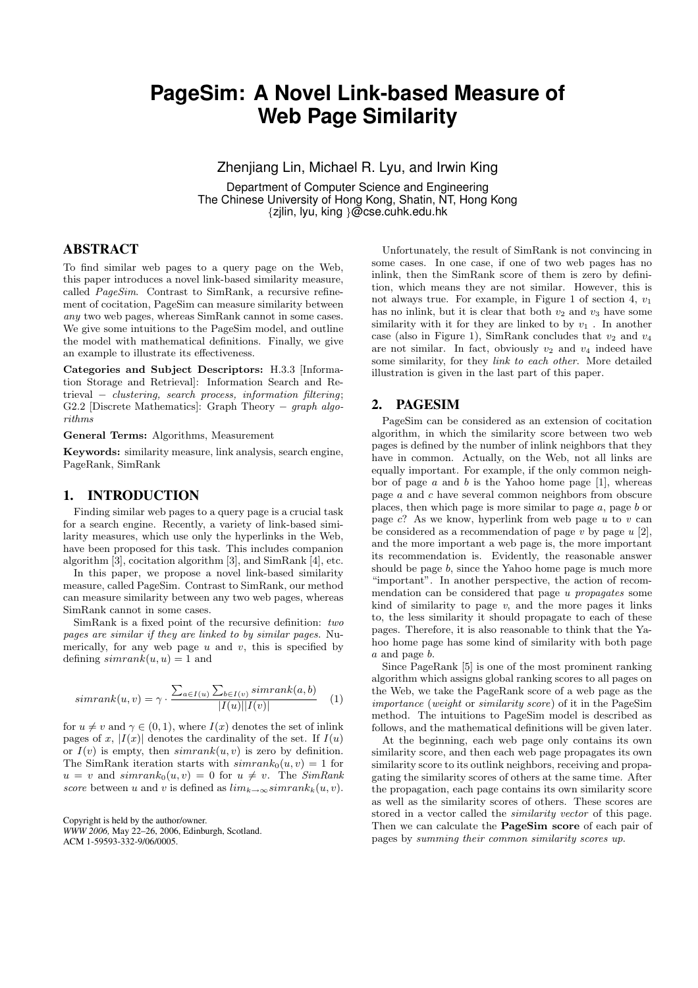# **PageSim: A Novel Link-based Measure of Web Page Similarity**

Zhenjiang Lin, Michael R. Lyu, and Irwin King

Department of Computer Science and Engineering The Chinese University of Hong Kong, Shatin, NT, Hong Kong {zjlin, lyu, king }@cse.cuhk.edu.hk

## ABSTRACT

To find similar web pages to a query page on the Web, this paper introduces a novel link-based similarity measure, called PageSim. Contrast to SimRank, a recursive refinement of cocitation, PageSim can measure similarity between any two web pages, whereas SimRank cannot in some cases. We give some intuitions to the PageSim model, and outline the model with mathematical definitions. Finally, we give an example to illustrate its effectiveness.

Categories and Subject Descriptors: H.3.3 [Information Storage and Retrieval]: Information Search and Retrieval  $-$  clustering, search process, information filtering; G2.2 [Discrete Mathematics]: Graph Theory − *graph algo*rithms

General Terms: Algorithms, Measurement

Keywords: similarity measure, link analysis, search engine, PageRank, SimRank

#### 1. INTRODUCTION

Finding similar web pages to a query page is a crucial task for a search engine. Recently, a variety of link-based similarity measures, which use only the hyperlinks in the Web, have been proposed for this task. This includes companion algorithm [3], cocitation algorithm [3], and SimRank [4], etc.

In this paper, we propose a novel link-based similarity measure, called PageSim. Contrast to SimRank, our method can measure similarity between any two web pages, whereas SimRank cannot in some cases.

SimRank is a fixed point of the recursive definition: two pages are similar if they are linked to by similar pages. Numerically, for any web page  $u$  and  $v$ , this is specified by defining  $simrank(u, u) = 1$  and

$$
simrank(u, v) = \gamma \cdot \frac{\sum_{a \in I(u)} \sum_{b \in I(v)} simrank(a, b)}{|I(u)||I(v)|}
$$
 (1)

for  $u \neq v$  and  $\gamma \in (0, 1)$ , where  $I(x)$  denotes the set of inlink pages of x,  $|I(x)|$  denotes the cardinality of the set. If  $I(u)$ or  $I(v)$  is empty, then  $simrank(u, v)$  is zero by definition. The SimRank iteration starts with  $simrank_0(u, v) = 1$  for  $u = v$  and  $simrank_0(u, v) = 0$  for  $u \neq v$ . The SimRank score between u and v is defined as  $\lim_{k\to\infty} \lim rank_k(u, v)$ .

Copyright is held by the author/owner. *WWW 2006,* May 22–26, 2006, Edinburgh, Scotland. ACM 1-59593-332-9/06/0005.

Unfortunately, the result of SimRank is not convincing in some cases. In one case, if one of two web pages has no inlink, then the SimRank score of them is zero by definition, which means they are not similar. However, this is not always true. For example, in Figure 1 of section 4,  $v_1$ has no inlink, but it is clear that both  $v_2$  and  $v_3$  have some similarity with it for they are linked to by  $v_1$ . In another case (also in Figure 1), SimRank concludes that  $v_2$  and  $v_4$ are not similar. In fact, obviously  $v_2$  and  $v_4$  indeed have some similarity, for they link to each other. More detailed illustration is given in the last part of this paper.

#### 2. PAGESIM

PageSim can be considered as an extension of cocitation algorithm, in which the similarity score between two web pages is defined by the number of inlink neighbors that they have in common. Actually, on the Web, not all links are equally important. For example, if the only common neighbor of page  $a$  and  $b$  is the Yahoo home page [1], whereas page a and c have several common neighbors from obscure places, then which page is more similar to page  $a$ , page  $b$  or page  $c$ ? As we know, hyperlink from web page  $u$  to  $v$  can be considered as a recommendation of page  $v$  by page  $u$  [2], and the more important a web page is, the more important its recommendation is. Evidently, the reasonable answer should be page  $b$ , since the Yahoo home page is much more "important". In another perspective, the action of recommendation can be considered that page u propagates some kind of similarity to page  $v$ , and the more pages it links to, the less similarity it should propagate to each of these pages. Therefore, it is also reasonable to think that the Yahoo home page has some kind of similarity with both page a and page b.

Since PageRank [5] is one of the most prominent ranking algorithm which assigns global ranking scores to all pages on the Web, we take the PageRank score of a web page as the importance (weight or similarity score) of it in the PageSim method. The intuitions to PageSim model is described as follows, and the mathematical definitions will be given later.

At the beginning, each web page only contains its own similarity score, and then each web page propagates its own similarity score to its outlink neighbors, receiving and propagating the similarity scores of others at the same time. After the propagation, each page contains its own similarity score as well as the similarity scores of others. These scores are stored in a vector called the similarity vector of this page. Then we can calculate the **PageSim score** of each pair of pages by summing their common similarity scores up.